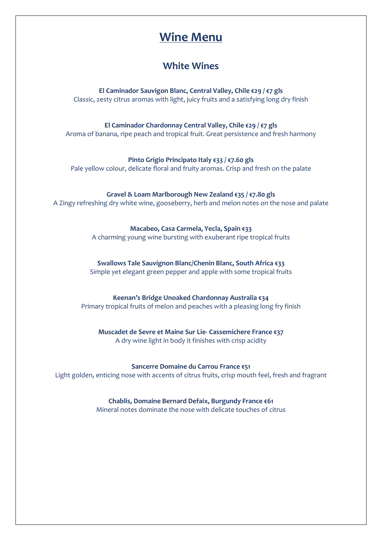# **Wine Menu**

### **White Wines**

**El Caminador Sauvigon Blanc, Central Valley, Chile €29 / €7 gls** Classic, zesty citrus aromas with light, juicy fruits and a satisfying long dry finish

**El Caminador Chardonnay Central Valley, Chile €29 / €7 gls** Aroma of banana, ripe peach and tropical fruit. Great persistence and fresh harmony

**Pinto Grigio Principato Italy €33 / €7.60 gls** Pale yellow colour, delicate floral and fruity aromas. Crisp and fresh on the palate

**Gravel & Loam Marlborough New Zealand €35 / €7.80 gls** A Zingy refreshing dry white wine, gooseberry, herb and melon notes on the nose and palate

> **Macabeo, Casa Carmela, Yecla, Spain €33** A charming young wine bursting with exuberant ripe tropical fruits

**Swallows Tale Sauvignon Blanc/Chenin Blanc, South Africa €33** Simple yet elegant green pepper and apple with some tropical fruits

**Keenan's Bridge Unoaked Chardonnay Australia €34**

Primary tropical fruits of melon and peaches with a pleasing long fry finish

**Muscadet de Sevre et Maine Sur Lie- Cassemichere France €37** A dry wine light in body it finishes with crisp acidity

**Sancerre Domaine du Carrou France €51** Light golden, enticing nose with accents of citrus fruits, crisp mouth feel, fresh and fragrant

> **Chablis, Domaine Bernard Defaix, Burgundy France €61** Mineral notes dominate the nose with delicate touches of citrus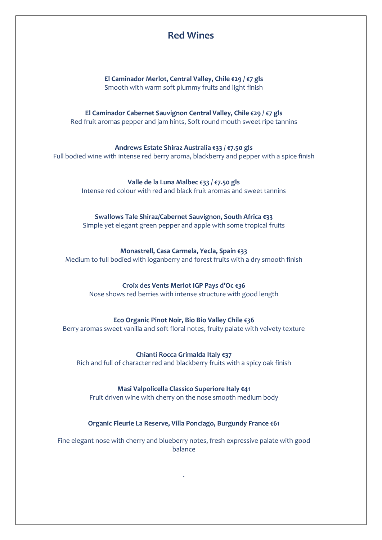### **Red Wines**

#### **El Caminador Merlot, Central Valley, Chile €29 / €7 gls** Smooth with warm soft plummy fruits and light finish

**El Caminador Cabernet Sauvignon Central Valley, Chile €29 / €7 gls** Red fruit aromas pepper and jam hints, Soft round mouth sweet ripe tannins

# **Andrews Estate Shiraz Australia €33 / €7.50 gls**

Full bodied wine with intense red berry aroma, blackberry and pepper with a spice finish

**Valle de la Luna Malbec €33 / €7.50 gls** Intense red colour with red and black fruit aromas and sweet tannins

#### **Swallows Tale Shiraz/Cabernet Sauvignon, South Africa €33**

Simple yet elegant green pepper and apple with some tropical fruits

#### **Monastrell, Casa Carmela, Yecla, Spain €33**

Medium to full bodied with loganberry and forest fruits with a dry smooth finish

#### **Croix des Vents Merlot IGP Pays d'Oc €36**

Nose shows red berries with intense structure with good length

#### **Eco Organic Pinot Noir, Bio Bio Valley Chile €36**

Berry aromas sweet vanilla and soft floral notes, fruity palate with velvety texture

**Chianti Rocca Grimalda Italy €37**

Rich and full of character red and blackberry fruits with a spicy oak finish

#### **Masi Valpolicella Classico Superiore Italy €41**

Fruit driven wine with cherry on the nose smooth medium body

#### **Organic Fleurie La Reserve, Villa Ponciago, Burgundy France €61**

Fine elegant nose with cherry and blueberry notes, fresh expressive palate with good balance

.